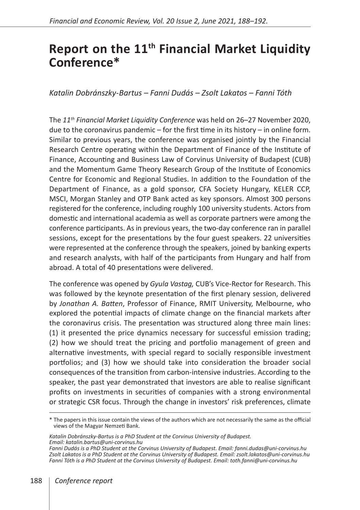## **Report on the 11th Financial Market Liquidity Conference\***

## *Katalin Dobránszky-Bartus – Fanni Dudás – Zsolt Lakatos – Fanni Tóth*

The *11th Financial Market Liquidity Conference* was held on 26–27 November 2020, due to the coronavirus pandemic – for the first time in its history – in online form. Similar to previous years, the conference was organised jointly by the Financial Research Centre operating within the Department of Finance of the Institute of Finance, Accounting and Business Law of Corvinus University of Budapest (CUB) and the Momentum Game Theory Research Group of the Institute of Economics Centre for Economic and Regional Studies. In addition to the Foundation of the Department of Finance, as a gold sponsor, CFA Society Hungary, KELER CCP, MSCI, Morgan Stanley and OTP Bank acted as key sponsors. Almost 300 persons registered for the conference, including roughly 100 university students. Actors from domestic and international academia as well as corporate partners were among the conference participants. As in previous years, the two-day conference ran in parallel sessions, except for the presentations by the four guest speakers. 22 universities were represented at the conference through the speakers, joined by banking experts and research analysts, with half of the participants from Hungary and half from abroad. A total of 40 presentations were delivered.

The conference was opened by *Gyula Vastag,* CUB's Vice-Rector for Research. This was followed by the keynote presentation of the first plenary session, delivered by *Jonathan A. Batten*, Professor of Finance, RMIT University, Melbourne, who explored the potential impacts of climate change on the financial markets after the coronavirus crisis. The presentation was structured along three main lines: (1) it presented the price dynamics necessary for successful emission trading; (2) how we should treat the pricing and portfolio management of green and alternative investments, with special regard to socially responsible investment portfolios; and (3) how we should take into consideration the broader social consequences of the transition from carbon-intensive industries. According to the speaker, the past year demonstrated that investors are able to realise significant profits on investments in securities of companies with a strong environmental or strategic CSR focus. Through the change in investors' risk preferences, climate

<sup>\*</sup> The papers in this issue contain the views of the authors which are not necessarily the same as the official views of the Magyar Nemzeti Bank.

*Katalin Dobránszky-Bartus is a PhD Student at the Corvinus University of Budapest. Email: katalin.bartus@uni-corvinus.hu*

*Fanni Dudás is a PhD Student at the Corvinus University of Budapest. Email: fanni.dudas@uni-corvinus.hu Zsolt Lakatos is a PhD Student at the Corvinus University of Budapest. Email: zsolt.lakatos@uni-corvinus.hu Fanni Tóth is a PhD Student at the Corvinus University of Budapest. Email: toth.fanni@uni-corvinus.hu*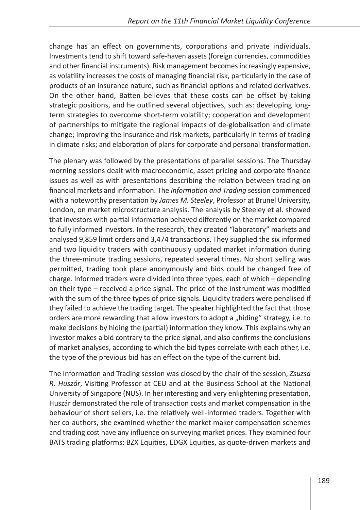change has an effect on governments, corporations and private individuals. Investments tend to shift toward safe-haven assets (foreign currencies, commodities and other financial instruments). Risk management becomes increasingly expensive, as volatility increases the costs of managing financial risk, particularly in the case of products of an insurance nature, such as financial options and related derivatives. On the other hand, Batten believes that these costs can be offset by taking strategic positions, and he outlined several objectives, such as: developing longterm strategies to overcome short-term volatility; cooperation and development of partnerships to mitigate the regional impacts of de-globalisation and climate change; improving the insurance and risk markets, particularly in terms of trading in climate risks; and elaboration of plans for corporate and personal transformation.

The plenary was followed by the presentations of parallel sessions. The Thursday morning sessions dealt with macroeconomic, asset pricing and corporate finance issues as well as with presentations describing the relation between trading on financial markets and information. The *Information and Trading* session commenced with a noteworthy presentation by *James M. Steeley*, Professor at Brunel University, London, on market microstructure analysis. The analysis by Steeley et al. showed that investors with partial information behaved differently on the market compared to fully informed investors. In the research, they created "laboratory" markets and analysed 9,859 limit orders and 3,474 transactions. They supplied the six informed and two liquidity traders with continuously updated market information during the three-minute trading sessions, repeated several times. No short selling was permitted, trading took place anonymously and bids could be changed free of charge. Informed traders were divided into three types, each of which – depending on their type – received a price signal. The price of the instrument was modified with the sum of the three types of price signals. Liquidity traders were penalised if they failed to achieve the trading target. The speaker highlighted the fact that those orders are more rewarding that allow investors to adopt a "hiding" strategy, i.e. to make decisions by hiding the (partial) information they know. This explains why an investor makes a bid contrary to the price signal, and also confirms the conclusions of market analyses, according to which the bid types correlate with each other, i.e. the type of the previous bid has an effect on the type of the current bid.

The Information and Trading session was closed by the chair of the session, *Zsuzsa R. Huszár*, Visiting Professor at CEU and at the Business School at the National University of Singapore (NUS). In her interesting and very enlightening presentation, Huszár demonstrated the role of transaction costs and market compensation in the behaviour of short sellers, i.e. the relatively well-informed traders. Together with her co-authors, she examined whether the market maker compensation schemes and trading cost have any influence on surveying market prices. They examined four BATS trading platforms: BZX Equities, EDGX Equities, as quote-driven markets and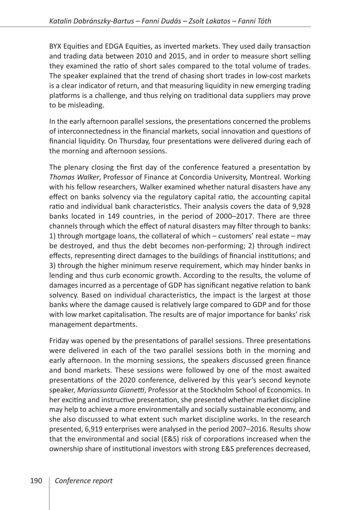BYX Equities and EDGA Equities, as inverted markets. They used daily transaction and trading data between 2010 and 2015, and in order to measure short selling they examined the ratio of short sales compared to the total volume of trades. The speaker explained that the trend of chasing short trades in low-cost markets is a clear indicator of return, and that measuring liquidity in new emerging trading platforms is a challenge, and thus relying on traditional data suppliers may prove to be misleading.

In the early afternoon parallel sessions, the presentations concerned the problems of interconnectedness in the financial markets, social innovation and questions of financial liquidity. On Thursday, four presentations were delivered during each of the morning and afternoon sessions.

The plenary closing the first day of the conference featured a presentation by *Thomas Walker*, Professor of Finance at Concordia University, Montreal. Working with his fellow researchers, Walker examined whether natural disasters have any effect on banks solvency via the regulatory capital ratio, the accounting capital ratio and individual bank characteristics. Their analysis covers the data of 9,928 banks located in 149 countries, in the period of 2000–2017. There are three channels through which the effect of natural disasters may filter through to banks: 1) through mortgage loans, the collateral of which – customers' real estate – may be destroyed, and thus the debt becomes non-performing; 2) through indirect effects, representing direct damages to the buildings of financial institutions; and 3) through the higher minimum reserve requirement, which may hinder banks in lending and thus curb economic growth. According to the results, the volume of damages incurred as a percentage of GDP has significant negative relation to bank solvency. Based on individual characteristics, the impact is the largest at those banks where the damage caused is relatively large compared to GDP and for those with low market capitalisation. The results are of major importance for banks' risk management departments.

Friday was opened by the presentations of parallel sessions. Three presentations were delivered in each of the two parallel sessions both in the morning and early afternoon. In the morning sessions, the speakers discussed green finance and bond markets. These sessions were followed by one of the most awaited presentations of the 2020 conference, delivered by this year's second keynote speaker, *Mariassunta Gianetti*, Professor at the Stockholm School of Economics. In her exciting and instructive presentation, she presented whether market discipline may help to achieve a more environmentally and socially sustainable economy, and she also discussed to what extent such market discipline works. In the research presented, 6,919 enterprises were analysed in the period 2007–2016. Results show that the environmental and social (E&S) risk of corporations increased when the ownership share of institutional investors with strong E&S preferences decreased,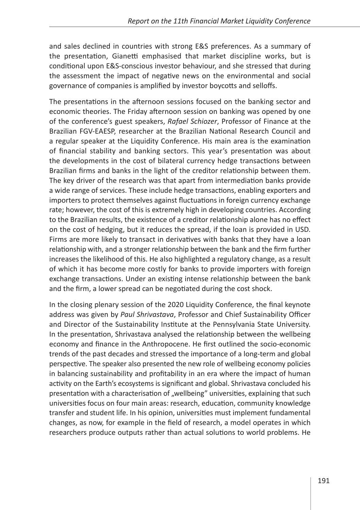and sales declined in countries with strong E&S preferences. As a summary of the presentation, Gianetti emphasised that market discipline works, but is conditional upon E&S-conscious investor behaviour, and she stressed that during the assessment the impact of negative news on the environmental and social governance of companies is amplified by investor boycotts and selloffs.

The presentations in the afternoon sessions focused on the banking sector and economic theories. The Friday afternoon session on banking was opened by one of the conference's guest speakers, *Rafael Schiozer*, Professor of Finance at the Brazilian FGV-EAESP, researcher at the Brazilian National Research Council and a regular speaker at the Liquidity Conference. His main area is the examination of financial stability and banking sectors. This year's presentation was about the developments in the cost of bilateral currency hedge transactions between Brazilian firms and banks in the light of the creditor relationship between them. The key driver of the research was that apart from intermediation banks provide a wide range of services. These include hedge transactions, enabling exporters and importers to protect themselves against fluctuations in foreign currency exchange rate; however, the cost of this is extremely high in developing countries. According to the Brazilian results, the existence of a creditor relationship alone has no effect on the cost of hedging, but it reduces the spread, if the loan is provided in USD. Firms are more likely to transact in derivatives with banks that they have a loan relationship with, and a stronger relationship between the bank and the firm further increases the likelihood of this. He also highlighted a regulatory change, as a result of which it has become more costly for banks to provide importers with foreign exchange transactions. Under an existing intense relationship between the bank and the firm, a lower spread can be negotiated during the cost shock.

In the closing plenary session of the 2020 Liquidity Conference, the final keynote address was given by *Paul Shrivastava*, Professor and Chief Sustainability Officer and Director of the Sustainability Institute at the Pennsylvania State University. In the presentation, Shrivastava analysed the relationship between the wellbeing economy and finance in the Anthropocene. He first outlined the socio-economic trends of the past decades and stressed the importance of a long-term and global perspective. The speaker also presented the new role of wellbeing economy policies in balancing sustainability and profitability in an era where the impact of human activity on the Earth's ecosystems is significant and global. Shrivastava concluded his presentation with a characterisation of "wellbeing" universities, explaining that such universities focus on four main areas: research, education, community knowledge transfer and student life. In his opinion, universities must implement fundamental changes, as now, for example in the field of research, a model operates in which researchers produce outputs rather than actual solutions to world problems. He